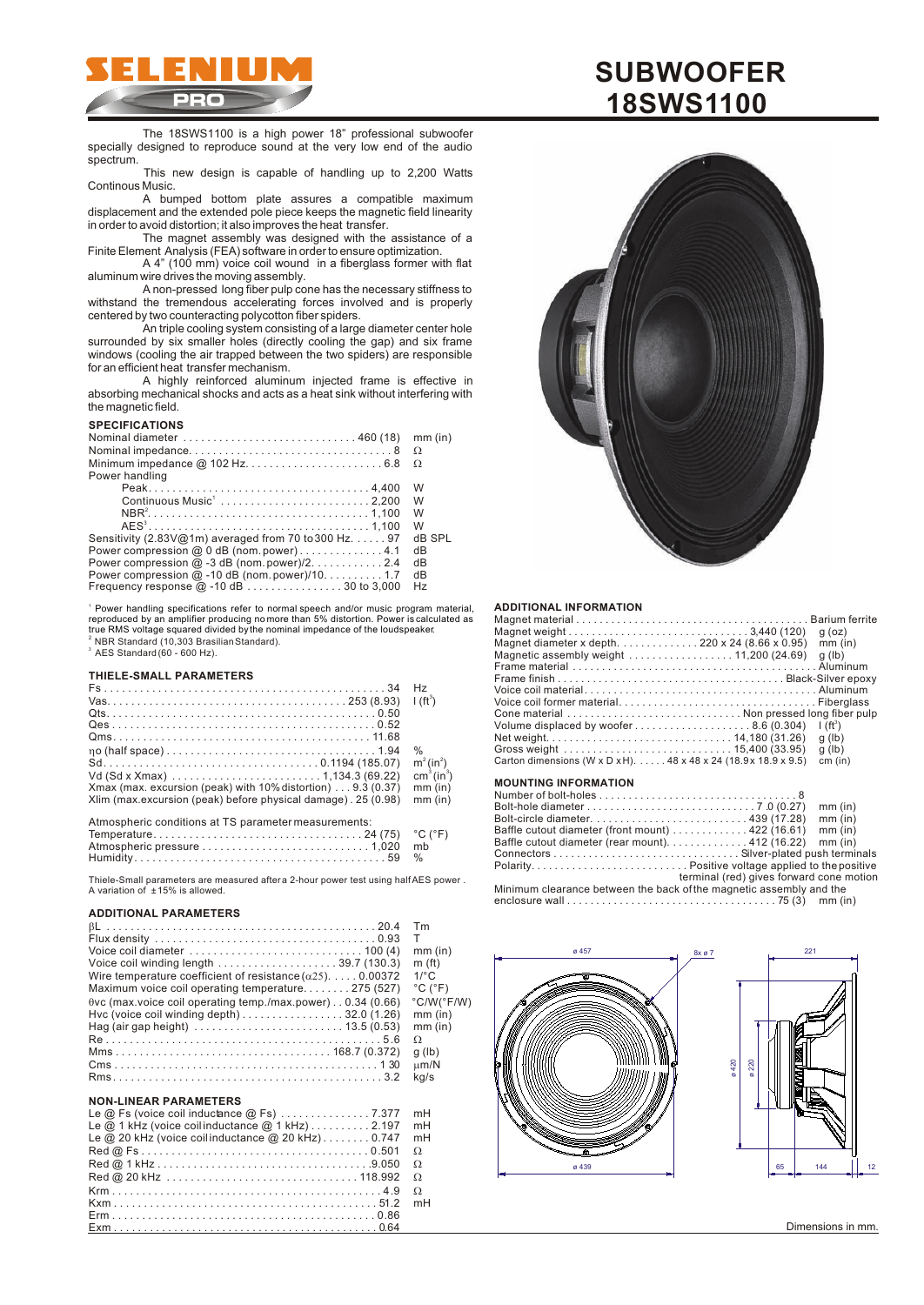

The 18SWS1100 is a high power 18" professional subwoofer specially designed to reproduce sound at the very low end of the audio spectrum.

This new design is capable of handling up to 2,200 Watts Continous Music.

A bumped bottom plate assures a compatible maximum displacement and the extended pole piece keeps the magnetic field linearity in order to avoid distortion; it also improves the heat transfer.

The magnet assembly was designed with the assistance of a Finite Element Analysis (FEA) software in order to ensure optimization.

A 4" (100 mm) voice coil wound in a fiberglass former with flat aluminum wire drives the moving assembly.

A non-pressed long fiber pulp cone has the necessary stiffness to withstand the tremendous accelerating forces involved and is properly centered by two counteracting polycotton fiber spiders.

An triple cooling system consisting of a large diameter center hole surrounded by six smaller holes (directly cooling the gap) and six frame windows (cooling the air trapped between the two spiders) are responsible for an efficient heat transfer mechanism.

A highly reinforced aluminum injected frame is effective in absorbing mechanical shocks and acts as a heat sink without interfering with the magnetic field.

#### **SPECIFICATIONS**

|                                                                 | mm (in) |
|-----------------------------------------------------------------|---------|
|                                                                 |         |
|                                                                 |         |
| Power handling                                                  |         |
|                                                                 | W       |
| Continuous Music <sup>1</sup> 2,200                             | W       |
|                                                                 | W       |
|                                                                 | W       |
| Sensitivity (2.83V@1m) averaged from 70 to 300 Hz. $\dots$ . 97 | dB SPL  |
| Power compression @ 0 dB (nom.power)4.1                         | dB      |
| Power compression $@-3$ dB (nom. power)/2. 2.4                  | dВ      |
| Power compression $@$ -10 dB (nom. power)/10. 1.7               | dB      |
|                                                                 | Hz      |

1 Power handling specifications refer to normal speech and/or music program material,  $2$  NBR Standard (10,303 Brasilian Standard).  $^3$  AES Standard (60 - 600 Hz). reproduced by an amplifier producing no more than 5% distortion. Power is calculated as true RMS voltage squared divided by the nominal impedance of the loudspeaker.

## **THIELE-SMALL PARAMETERS**

|                                                                                        | H <sub>z</sub>                     |
|----------------------------------------------------------------------------------------|------------------------------------|
|                                                                                        | $1(f t^3)$                         |
|                                                                                        |                                    |
|                                                                                        |                                    |
|                                                                                        |                                    |
|                                                                                        | $\%$                               |
|                                                                                        | $m^2$ (in <sup>2</sup> )           |
| Vd (Sd x Xmax) $\dots \dots \dots \dots \dots \dots \dots \dots \dots 1,134.3$ (69.22) | cm <sup>3</sup> (in <sup>3</sup> ) |
| Xmax (max. excursion (peak) with 10% distortion) 9.3 (0.37)                            | $mm$ (in)                          |
| Xlim (max.excursion (peak) before physical damage). 25 (0.98)                          | $mm$ (in)                          |
| Atmospheric conditions at TS parameter measurements:                                   |                                    |
|                                                                                        | $^{\circ}$ C ( $^{\circ}$ F)       |
|                                                                                        | mb                                 |

Atmospheric pressure............................1,020 mb Humidity ..........................................59 %

Thiele-Small parameters are measured after a 2-hour power test using half AES power . A variation of ± 15% is allowed.

#### **ADDITIONAL PARAMETERS**

| Tm                           |
|------------------------------|
| т                            |
| $mm$ (in)                    |
| m(f <sub>t</sub> )           |
| $1$ <sup>o</sup> $\sim$      |
| $^{\circ}$ C ( $^{\circ}$ F) |
| °C/W(°F/W)                   |
| $mm$ (in)                    |
| $mm$ (in)                    |
|                              |
| $q$ (lb)                     |
| m/N                          |
| ka/s                         |
|                              |

## **NON-LINEAR PARAMETERS**

|                                                    | mH |
|----------------------------------------------------|----|
| Le $@$ 1 kHz (voice coilinductance $@$ 1 kHz)2.197 | mH |
| Le @ 20 kHz (voice coilinductance @ 20 kHz)0.747   | mH |
|                                                    |    |
|                                                    |    |
|                                                    |    |
|                                                    |    |
|                                                    |    |
|                                                    |    |
|                                                    |    |





#### **ADDITIONAL INFORMATION**

|                                                                                     | $q$ (oz)      |
|-------------------------------------------------------------------------------------|---------------|
| Magnet diameter x depth220 x 24 (8.66 x 0.95)                                       | $mm$ (in)     |
| Magnetic assembly weight $\ldots \ldots \ldots \ldots \ldots \ldots$ 11,200 (24.69) | $q$ (lb)      |
|                                                                                     |               |
|                                                                                     |               |
|                                                                                     |               |
|                                                                                     |               |
|                                                                                     |               |
| Volume displaced by woofer8.6 (0.304)                                               | $\int (ft^3)$ |
|                                                                                     | $q$ (lb)      |
|                                                                                     | $q$ (lb)      |
| Carton dimensions (W x D x H). $\dots$ 48 x 48 x 24 (18.9 x 18.9 x 9.5)             | cm (in)       |
| <b>MOUNTING INFORMATION</b>                                                         |               |
| Number of bolt-holes $\dots\dots\dots\dots\dots\dots\dots\dots\dots\dots\dots$      |               |
|                                                                                     | $mm$ (in)     |

| $mm$ (in)                                                                                   |  |  |
|---------------------------------------------------------------------------------------------|--|--|
| $mm$ (in)                                                                                   |  |  |
| $mm$ (in)<br>Baffle cutout diameter (front mount) $\ldots \ldots \ldots \ldots$ 422 (16.61) |  |  |
| Baffle cutout diameter (rear mount). 412 (16.22) mm (in)                                    |  |  |
|                                                                                             |  |  |
|                                                                                             |  |  |
| terminal (red) gives forward cone motion                                                    |  |  |
| Minimum clearance between the back of the magnetic assembly and the                         |  |  |
| enclosure wall $\dots\dots\dots\dots\dots\dots\dots\dots\dots\dots\dots$ 75 (3) mm (in)     |  |  |



Dimensions in mm.